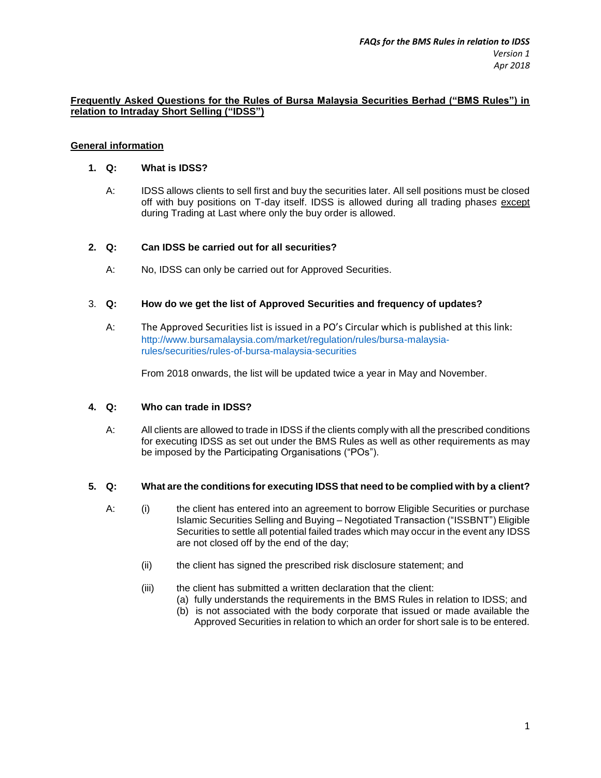### **Frequently Asked Questions for the Rules of Bursa Malaysia Securities Berhad ("BMS Rules") in relation to Intraday Short Selling ("IDSS")**

# **General information**

### **1. Q: What is IDSS?**

A: IDSS allows clients to sell first and buy the securities later. All sell positions must be closed off with buy positions on T-day itself. IDSS is allowed during all trading phase*s* except during Trading at Last where only the buy order is allowed.

# **2. Q: Can IDSS be carried out for all securities?**

A: No, IDSS can only be carried out for Approved Securities.

# 3. **Q: How do we get the list of Approved Securities and frequency of updates?**

A: The Approved Securities list is issued in a PO's Circular which is published at this link: [http://www.bursamalaysia.com/market/regulation/rules/bursa-malaysia](http://www.bursamalaysia.com/market/regulation/rules/bursa-malaysia-rules/securities/rules-of-bursa-malaysia-securities)[rules/securities/rules-of-bursa-malaysia-securities](http://www.bursamalaysia.com/market/regulation/rules/bursa-malaysia-rules/securities/rules-of-bursa-malaysia-securities)

From 2018 onwards, the list will be updated twice a year in May and November.

### **4. Q: Who can trade in IDSS?**

A: All clients are allowed to trade in IDSS if the clients comply with all the prescribed conditions for executing IDSS as set out under the BMS Rules as well as other requirements as may be imposed by the Participating Organisations ("POs").

### **5. Q: What are the conditions for executing IDSS that need to be complied with by a client?**

- A: (i) the client has entered into an agreement to borrow Eligible Securities or purchase Islamic Securities Selling and Buying – Negotiated Transaction ("ISSBNT") Eligible Securities to settle all potential failed trades which may occur in the event any IDSS are not closed off by the end of the day;
	- (ii) the client has signed the prescribed risk disclosure statement; and
	- (iii) the client has submitted a written declaration that the client:
		- (a) fully understands the requirements in the BMS Rules in relation to IDSS; and
		- (b) is not associated with the body corporate that issued or made available the Approved Securities in relation to which an order for short sale is to be entered.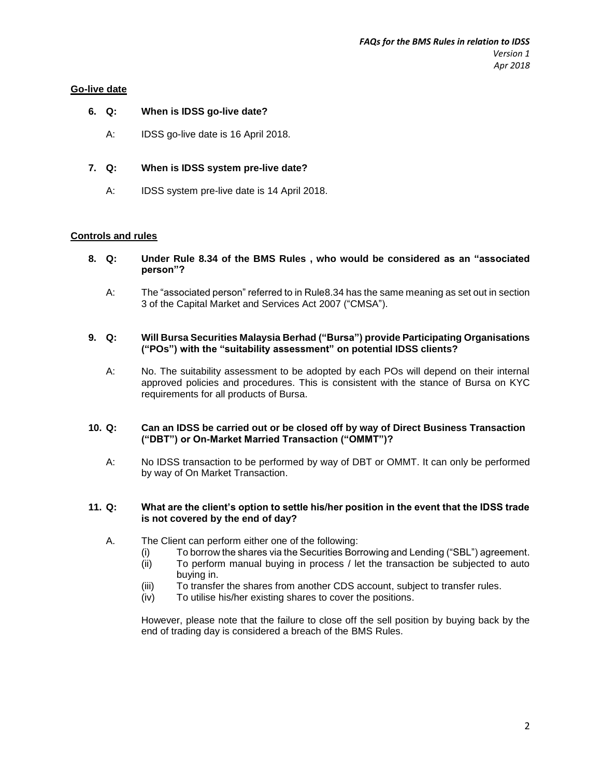### **Go-live date**

### **6. Q: When is IDSS go-live date?**

A: IDSS go-live date is 16 April 2018.

# **7. Q: When is IDSS system pre-live date?**

A: IDSS system pre-live date is 14 April 2018.

# **Controls and rules**

- **8. Q: Under Rule 8.34 of the BMS Rules , who would be considered as an "associated person"?**
	- A: The "associated person" referred to in Rule8.34 has the same meaning as set out in section 3 of the Capital Market and Services Act 2007 ("CMSA").
- **9. Q: Will Bursa Securities Malaysia Berhad ("Bursa") provide Participating Organisations ("POs") with the "suitability assessment" on potential IDSS clients?**
	- A: No. The suitability assessment to be adopted by each POs will depend on their internal approved policies and procedures. This is consistent with the stance of Bursa on KYC requirements for all products of Bursa.

#### **10. Q: Can an IDSS be carried out or be closed off by way of Direct Business Transaction ("DBT") or On-Market Married Transaction ("OMMT")?**

A: No IDSS transaction to be performed by way of DBT or OMMT. It can only be performed by way of On Market Transaction.

### **11. Q: What are the client's option to settle his/her position in the event that the IDSS trade is not covered by the end of day?**

- A. The Client can perform either one of the following:
	- (i) To borrow the shares via the Securities Borrowing and Lending ("SBL") agreement.
	- (ii) To perform manual buying in process / let the transaction be subjected to auto buying in.
	- (iii) To transfer the shares from another CDS account, subject to transfer rules.
	- (iv) To utilise his/her existing shares to cover the positions.

However, please note that the failure to close off the sell position by buying back by the end of trading day is considered a breach of the BMS Rules.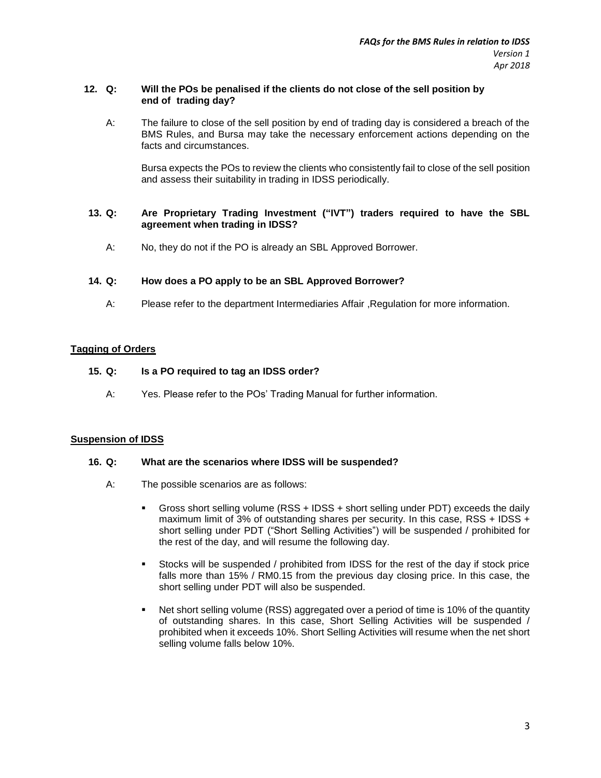# **12. Q: Will the POs be penalised if the clients do not close of the sell position by end of trading day?**

A: The failure to close of the sell position by end of trading day is considered a breach of the BMS Rules, and Bursa may take the necessary enforcement actions depending on the facts and circumstances.

Bursa expects the POs to review the clients who consistently fail to close of the sell position and assess their suitability in trading in IDSS periodically.

# **13. Q: Are Proprietary Trading Investment ("IVT") traders required to have the SBL agreement when trading in IDSS?**

A: No, they do not if the PO is already an SBL Approved Borrower.

# **14. Q: How does a PO apply to be an SBL Approved Borrower?**

A: Please refer to the department Intermediaries Affair ,Regulation for more information.

# **Tagging of Orders**

# **15. Q: Is a PO required to tag an IDSS order?**

A: Yes. Please refer to the POs' Trading Manual for further information.

### **Suspension of IDSS**

### **16. Q: What are the scenarios where IDSS will be suspended?**

- A: The possible scenarios are as follows:
	- Gross short selling volume (RSS + IDSS + short selling under PDT) exceeds the daily maximum limit of 3% of outstanding shares per security. In this case, RSS + IDSS + short selling under PDT ("Short Selling Activities") will be suspended / prohibited for the rest of the day, and will resume the following day.
	- Stocks will be suspended / prohibited from IDSS for the rest of the day if stock price falls more than 15% / RM0.15 from the previous day closing price. In this case, the short selling under PDT will also be suspended.
	- Net short selling volume (RSS) aggregated over a period of time is 10% of the quantity of outstanding shares. In this case, Short Selling Activities will be suspended / prohibited when it exceeds 10%. Short Selling Activities will resume when the net short selling volume falls below 10%.